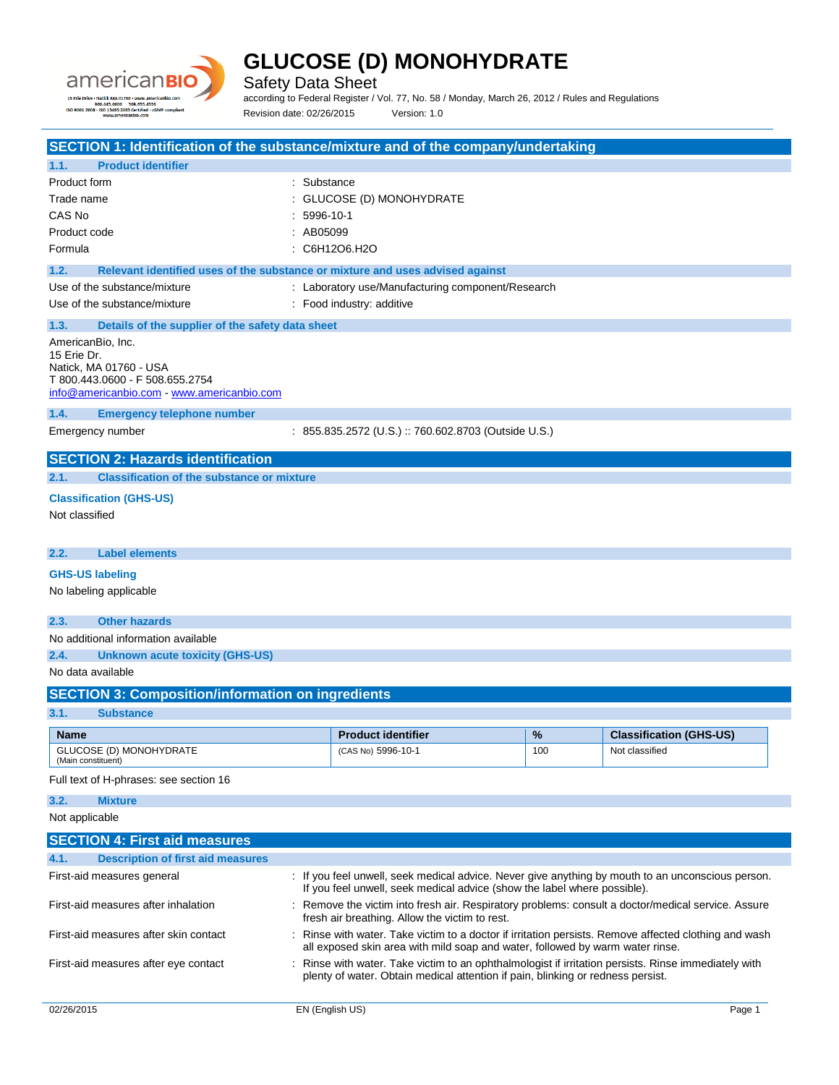

Safety Data Sheet

according to Federal Register / Vol. 77, No. 58 / Monday, March 26, 2012 / Rules and Regulations Revision date: 02/26/2015 Version: 1.0

| SECTION 1: Identification of the substance/mixture and of the company/undertaking                                                           |                                                                                                                                                                                       |     |                                |
|---------------------------------------------------------------------------------------------------------------------------------------------|---------------------------------------------------------------------------------------------------------------------------------------------------------------------------------------|-----|--------------------------------|
| <b>Product identifier</b><br>1.1.                                                                                                           |                                                                                                                                                                                       |     |                                |
| Product form                                                                                                                                | Substance                                                                                                                                                                             |     |                                |
| Trade name                                                                                                                                  | GLUCOSE (D) MONOHYDRATE                                                                                                                                                               |     |                                |
| CAS No                                                                                                                                      | 5996-10-1                                                                                                                                                                             |     |                                |
| Product code                                                                                                                                | AB05099                                                                                                                                                                               |     |                                |
| Formula                                                                                                                                     | : C6H12O6.H2O                                                                                                                                                                         |     |                                |
| 1.2.                                                                                                                                        | Relevant identified uses of the substance or mixture and uses advised against                                                                                                         |     |                                |
| Use of the substance/mixture                                                                                                                | : Laboratory use/Manufacturing component/Research                                                                                                                                     |     |                                |
| Use of the substance/mixture                                                                                                                | : Food industry: additive                                                                                                                                                             |     |                                |
| 1.3.<br>Details of the supplier of the safety data sheet                                                                                    |                                                                                                                                                                                       |     |                                |
| AmericanBio, Inc.<br>15 Erie Dr.<br>Natick, MA 01760 - USA<br>T 800.443.0600 - F 508.655.2754<br>info@americanbio.com - www.americanbio.com |                                                                                                                                                                                       |     |                                |
| 1.4.<br><b>Emergency telephone number</b>                                                                                                   |                                                                                                                                                                                       |     |                                |
| Emergency number                                                                                                                            | : 855.835.2572 (U.S.) :: 760.602.8703 (Outside U.S.)                                                                                                                                  |     |                                |
| <b>SECTION 2: Hazards identification</b>                                                                                                    |                                                                                                                                                                                       |     |                                |
| 2.1.<br><b>Classification of the substance or mixture</b>                                                                                   |                                                                                                                                                                                       |     |                                |
| <b>Classification (GHS-US)</b>                                                                                                              |                                                                                                                                                                                       |     |                                |
| Not classified                                                                                                                              |                                                                                                                                                                                       |     |                                |
| 2.2.<br><b>Label elements</b>                                                                                                               |                                                                                                                                                                                       |     |                                |
| <b>GHS-US labeling</b>                                                                                                                      |                                                                                                                                                                                       |     |                                |
| No labeling applicable                                                                                                                      |                                                                                                                                                                                       |     |                                |
|                                                                                                                                             |                                                                                                                                                                                       |     |                                |
| 2.3.<br><b>Other hazards</b>                                                                                                                |                                                                                                                                                                                       |     |                                |
| No additional information available                                                                                                         |                                                                                                                                                                                       |     |                                |
| 2.4.<br><b>Unknown acute toxicity (GHS-US)</b>                                                                                              |                                                                                                                                                                                       |     |                                |
| No data available                                                                                                                           |                                                                                                                                                                                       |     |                                |
| <b>SECTION 3: Composition/information on ingredients</b>                                                                                    |                                                                                                                                                                                       |     |                                |
| 3.1.<br><b>Substance</b>                                                                                                                    |                                                                                                                                                                                       |     |                                |
| <b>Name</b>                                                                                                                                 | <b>Product identifier</b>                                                                                                                                                             | %   | <b>Classification (GHS-US)</b> |
| GLUCOSE (D) MONOHYDRATE                                                                                                                     | (CAS No) 5996-10-1                                                                                                                                                                    | 100 | Not classified                 |
| (Main constituent)                                                                                                                          |                                                                                                                                                                                       |     |                                |
| Full text of H-phrases: see section 16                                                                                                      |                                                                                                                                                                                       |     |                                |
| 3.2.<br><b>Mixture</b>                                                                                                                      |                                                                                                                                                                                       |     |                                |
| Not applicable                                                                                                                              |                                                                                                                                                                                       |     |                                |
| <b>SECTION 4: First aid measures</b>                                                                                                        |                                                                                                                                                                                       |     |                                |
| 4.1.<br><b>Description of first aid measures</b>                                                                                            |                                                                                                                                                                                       |     |                                |
| First-aid measures general                                                                                                                  | : If you feel unwell, seek medical advice. Never give anything by mouth to an unconscious person.                                                                                     |     |                                |
|                                                                                                                                             | If you feel unwell, seek medical advice (show the label where possible).                                                                                                              |     |                                |
| First-aid measures after inhalation                                                                                                         | : Remove the victim into fresh air. Respiratory problems: consult a doctor/medical service. Assure<br>fresh air breathing. Allow the victim to rest.                                  |     |                                |
| First-aid measures after skin contact                                                                                                       | Rinse with water. Take victim to a doctor if irritation persists. Remove affected clothing and wash<br>all exposed skin area with mild soap and water, followed by warm water rinse.  |     |                                |
| First-aid measures after eye contact                                                                                                        | Rinse with water. Take victim to an ophthalmologist if irritation persists. Rinse immediately with<br>plenty of water. Obtain medical attention if pain, blinking or redness persist. |     |                                |
| 02/26/2015                                                                                                                                  | EN (English US)                                                                                                                                                                       |     | Page 1                         |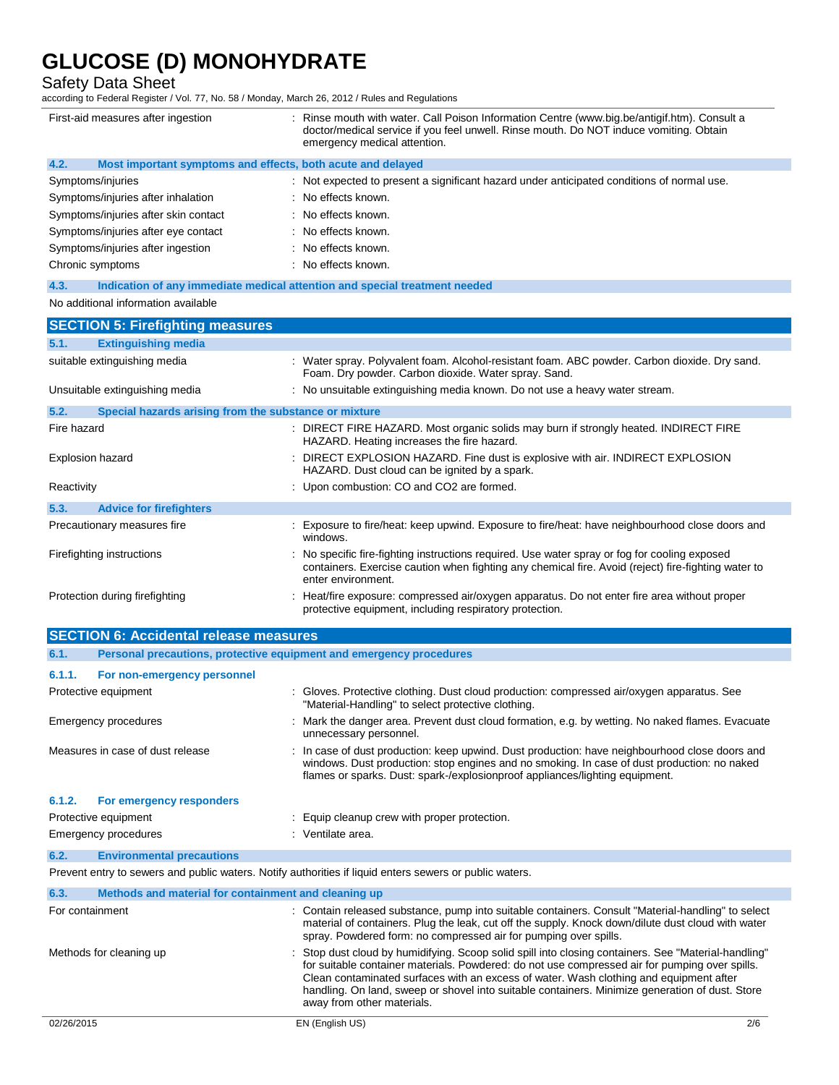## Safety Data Sheet

according to Federal Register / Vol. 77, No. 58 / Monday, March 26, 2012 / Rules and Regulations

| First-aid measures after ingestion                                  | : Rinse mouth with water. Call Poison Information Centre (www.big.be/antigif.htm). Consult a<br>doctor/medical service if you feel unwell. Rinse mouth. Do NOT induce vomiting. Obtain<br>emergency medical attention.                                                                                                                                                                                                            |  |
|---------------------------------------------------------------------|-----------------------------------------------------------------------------------------------------------------------------------------------------------------------------------------------------------------------------------------------------------------------------------------------------------------------------------------------------------------------------------------------------------------------------------|--|
| 4.2.<br>Most important symptoms and effects, both acute and delayed |                                                                                                                                                                                                                                                                                                                                                                                                                                   |  |
| Symptoms/injuries                                                   | : Not expected to present a significant hazard under anticipated conditions of normal use.                                                                                                                                                                                                                                                                                                                                        |  |
| Symptoms/injuries after inhalation                                  | No effects known.                                                                                                                                                                                                                                                                                                                                                                                                                 |  |
| Symptoms/injuries after skin contact                                | No effects known.                                                                                                                                                                                                                                                                                                                                                                                                                 |  |
| Symptoms/injuries after eye contact                                 | No effects known.                                                                                                                                                                                                                                                                                                                                                                                                                 |  |
| Symptoms/injuries after ingestion                                   | : No effects known.                                                                                                                                                                                                                                                                                                                                                                                                               |  |
| Chronic symptoms                                                    | : No effects known.                                                                                                                                                                                                                                                                                                                                                                                                               |  |
| 4.3.                                                                | Indication of any immediate medical attention and special treatment needed                                                                                                                                                                                                                                                                                                                                                        |  |
| No additional information available                                 |                                                                                                                                                                                                                                                                                                                                                                                                                                   |  |
| <b>SECTION 5: Firefighting measures</b>                             |                                                                                                                                                                                                                                                                                                                                                                                                                                   |  |
| <b>Extinguishing media</b><br>5.1.                                  |                                                                                                                                                                                                                                                                                                                                                                                                                                   |  |
| suitable extinguishing media                                        | : Water spray. Polyvalent foam. Alcohol-resistant foam. ABC powder. Carbon dioxide. Dry sand.<br>Foam. Dry powder. Carbon dioxide. Water spray. Sand.                                                                                                                                                                                                                                                                             |  |
| Unsuitable extinguishing media                                      | : No unsuitable extinguishing media known. Do not use a heavy water stream.                                                                                                                                                                                                                                                                                                                                                       |  |
| 5.2.<br>Special hazards arising from the substance or mixture       |                                                                                                                                                                                                                                                                                                                                                                                                                                   |  |
| Fire hazard                                                         | : DIRECT FIRE HAZARD. Most organic solids may burn if strongly heated. INDIRECT FIRE                                                                                                                                                                                                                                                                                                                                              |  |
| Explosion hazard                                                    | HAZARD. Heating increases the fire hazard.<br>DIRECT EXPLOSION HAZARD. Fine dust is explosive with air. INDIRECT EXPLOSION                                                                                                                                                                                                                                                                                                        |  |
|                                                                     | HAZARD. Dust cloud can be ignited by a spark.                                                                                                                                                                                                                                                                                                                                                                                     |  |
| Reactivity                                                          | : Upon combustion: CO and CO2 are formed.                                                                                                                                                                                                                                                                                                                                                                                         |  |
| 5.3.<br><b>Advice for firefighters</b>                              |                                                                                                                                                                                                                                                                                                                                                                                                                                   |  |
| Precautionary measures fire                                         | Exposure to fire/heat: keep upwind. Exposure to fire/heat: have neighbourhood close doors and<br>windows.                                                                                                                                                                                                                                                                                                                         |  |
| Firefighting instructions                                           | No specific fire-fighting instructions required. Use water spray or fog for cooling exposed<br>containers. Exercise caution when fighting any chemical fire. Avoid (reject) fire-fighting water to<br>enter environment.                                                                                                                                                                                                          |  |
| Protection during firefighting                                      | : Heat/fire exposure: compressed air/oxygen apparatus. Do not enter fire area without proper<br>protective equipment, including respiratory protection.                                                                                                                                                                                                                                                                           |  |
| <b>SECTION 6: Accidental release measures</b>                       |                                                                                                                                                                                                                                                                                                                                                                                                                                   |  |
| 6.1.                                                                | Personal precautions, protective equipment and emergency procedures                                                                                                                                                                                                                                                                                                                                                               |  |
| 6.1.1.<br>For non-emergency personnel                               |                                                                                                                                                                                                                                                                                                                                                                                                                                   |  |
| Protective equipment                                                | Gloves. Protective clothing. Dust cloud production: compressed air/oxygen apparatus. See<br>"Material-Handling" to select protective clothing.                                                                                                                                                                                                                                                                                    |  |
| Emergency procedures                                                | : Mark the danger area. Prevent dust cloud formation, e.g. by wetting. No naked flames. Evacuate<br>unnecessary personnel.                                                                                                                                                                                                                                                                                                        |  |
| Measures in case of dust release                                    | : In case of dust production: keep upwind. Dust production: have neighbourhood close doors and<br>windows. Dust production: stop engines and no smoking. In case of dust production: no naked<br>flames or sparks. Dust: spark-/explosionproof appliances/lighting equipment.                                                                                                                                                     |  |
| 6.1.2.<br>For emergency responders                                  |                                                                                                                                                                                                                                                                                                                                                                                                                                   |  |
| Protective equipment                                                | : Equip cleanup crew with proper protection.                                                                                                                                                                                                                                                                                                                                                                                      |  |
| Emergency procedures                                                | : Ventilate area.                                                                                                                                                                                                                                                                                                                                                                                                                 |  |
| 6.2.<br><b>Environmental precautions</b>                            |                                                                                                                                                                                                                                                                                                                                                                                                                                   |  |
|                                                                     | Prevent entry to sewers and public waters. Notify authorities if liquid enters sewers or public waters.                                                                                                                                                                                                                                                                                                                           |  |
|                                                                     |                                                                                                                                                                                                                                                                                                                                                                                                                                   |  |
| 6.3.<br>Methods and material for containment and cleaning up        |                                                                                                                                                                                                                                                                                                                                                                                                                                   |  |
| For containment                                                     | : Contain released substance, pump into suitable containers. Consult "Material-handling" to select<br>material of containers. Plug the leak, cut off the supply. Knock down/dilute dust cloud with water<br>spray. Powdered form: no compressed air for pumping over spills.                                                                                                                                                      |  |
| Methods for cleaning up                                             | : Stop dust cloud by humidifying. Scoop solid spill into closing containers. See "Material-handling"<br>for suitable container materials. Powdered: do not use compressed air for pumping over spills.<br>Clean contaminated surfaces with an excess of water. Wash clothing and equipment after<br>handling. On land, sweep or shovel into suitable containers. Minimize generation of dust. Store<br>away from other materials. |  |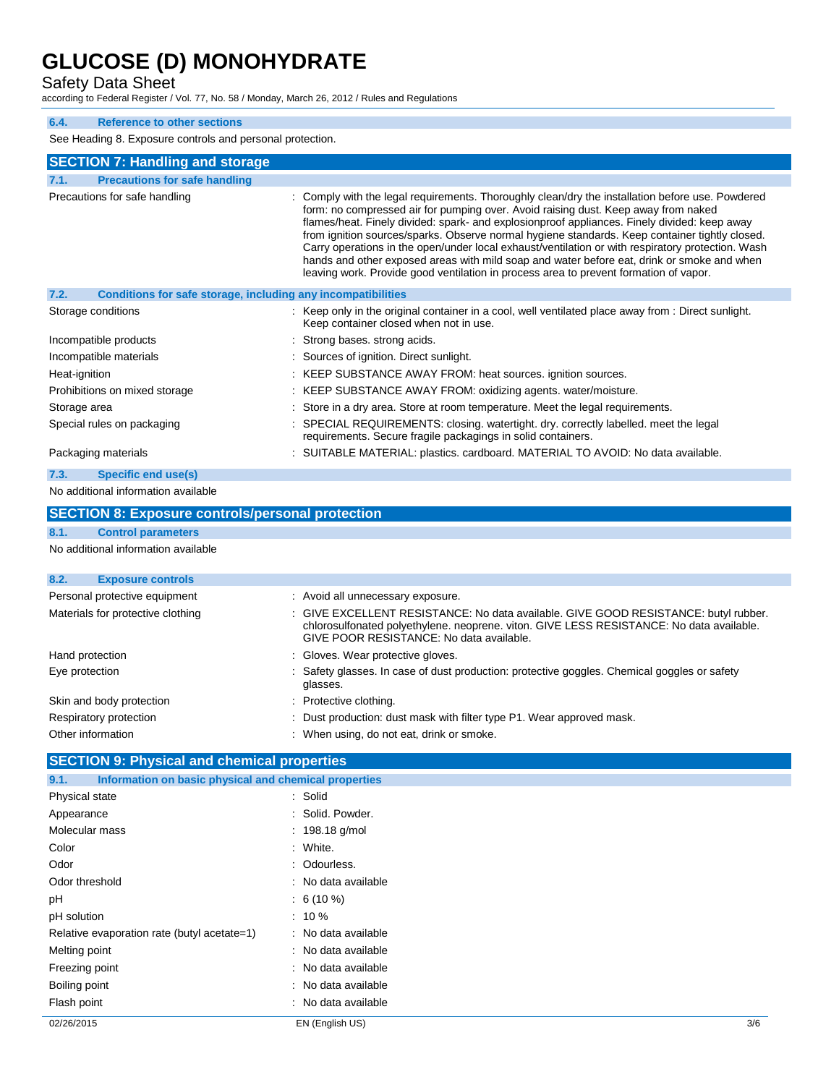Safety Data Sheet

according to Federal Register / Vol. 77, No. 58 / Monday, March 26, 2012 / Rules and Regulations

### **6.4. Reference to other sections**

See Heading 8. Exposure controls and personal protection.

| See Heading 8. Exposure controls and personal protection.            |                                                                                                                                                                                                                                                                                                                                                                                                                                                                                                                                                                                                                                                                                      |
|----------------------------------------------------------------------|--------------------------------------------------------------------------------------------------------------------------------------------------------------------------------------------------------------------------------------------------------------------------------------------------------------------------------------------------------------------------------------------------------------------------------------------------------------------------------------------------------------------------------------------------------------------------------------------------------------------------------------------------------------------------------------|
| <b>SECTION 7: Handling and storage</b>                               |                                                                                                                                                                                                                                                                                                                                                                                                                                                                                                                                                                                                                                                                                      |
| <b>Precautions for safe handling</b><br>7.1.                         |                                                                                                                                                                                                                                                                                                                                                                                                                                                                                                                                                                                                                                                                                      |
| Precautions for safe handling                                        | : Comply with the legal requirements. Thoroughly clean/dry the installation before use. Powdered<br>form: no compressed air for pumping over. Avoid raising dust. Keep away from naked<br>flames/heat. Finely divided: spark- and explosionproof appliances. Finely divided: keep away<br>from ignition sources/sparks. Observe normal hygiene standards. Keep container tightly closed.<br>Carry operations in the open/under local exhaust/ventilation or with respiratory protection. Wash<br>hands and other exposed areas with mild soap and water before eat, drink or smoke and when<br>leaving work. Provide good ventilation in process area to prevent formation of vapor. |
| Conditions for safe storage, including any incompatibilities<br>7.2. |                                                                                                                                                                                                                                                                                                                                                                                                                                                                                                                                                                                                                                                                                      |
| Storage conditions                                                   | : Keep only in the original container in a cool, well ventilated place away from : Direct sunlight.<br>Keep container closed when not in use.                                                                                                                                                                                                                                                                                                                                                                                                                                                                                                                                        |
| Incompatible products                                                | : Strong bases, strong acids.                                                                                                                                                                                                                                                                                                                                                                                                                                                                                                                                                                                                                                                        |
| Incompatible materials                                               | : Sources of ignition. Direct sunlight.                                                                                                                                                                                                                                                                                                                                                                                                                                                                                                                                                                                                                                              |
| Heat-ignition                                                        | KEEP SUBSTANCE AWAY FROM: heat sources. ignition sources.                                                                                                                                                                                                                                                                                                                                                                                                                                                                                                                                                                                                                            |
| Prohibitions on mixed storage                                        | : KEEP SUBSTANCE AWAY FROM: oxidizing agents. water/moisture.                                                                                                                                                                                                                                                                                                                                                                                                                                                                                                                                                                                                                        |
| Storage area                                                         | : Store in a dry area. Store at room temperature. Meet the legal requirements.                                                                                                                                                                                                                                                                                                                                                                                                                                                                                                                                                                                                       |
| Special rules on packaging                                           | : SPECIAL REQUIREMENTS: closing. watertight. dry. correctly labelled. meet the legal<br>requirements. Secure fragile packagings in solid containers.                                                                                                                                                                                                                                                                                                                                                                                                                                                                                                                                 |
| Packaging materials                                                  | : SUITABLE MATERIAL: plastics. cardboard. MATERIAL TO AVOID: No data available.                                                                                                                                                                                                                                                                                                                                                                                                                                                                                                                                                                                                      |
| 7.3.<br>Specific end use(s)                                          |                                                                                                                                                                                                                                                                                                                                                                                                                                                                                                                                                                                                                                                                                      |
| No additional information available                                  |                                                                                                                                                                                                                                                                                                                                                                                                                                                                                                                                                                                                                                                                                      |
| <b>SECTION 8: Exposure controls/personal protection</b>              |                                                                                                                                                                                                                                                                                                                                                                                                                                                                                                                                                                                                                                                                                      |
| 8.1.<br><b>Control parameters</b>                                    |                                                                                                                                                                                                                                                                                                                                                                                                                                                                                                                                                                                                                                                                                      |
| No additional information available                                  |                                                                                                                                                                                                                                                                                                                                                                                                                                                                                                                                                                                                                                                                                      |
| 8.2.<br><b>Exposure controls</b>                                     |                                                                                                                                                                                                                                                                                                                                                                                                                                                                                                                                                                                                                                                                                      |
| Personal protective equipment                                        | : Avoid all unnecessary exposure.                                                                                                                                                                                                                                                                                                                                                                                                                                                                                                                                                                                                                                                    |
| Materials for protective clothing                                    | : GIVE EXCELLENT RESISTANCE: No data available. GIVE GOOD RESISTANCE: butyl rubber.<br>chlorosulfonated polyethylene. neoprene. viton. GIVE LESS RESISTANCE: No data available.<br>GIVE POOR RESISTANCE: No data available.                                                                                                                                                                                                                                                                                                                                                                                                                                                          |
| Hand protection                                                      | Gloves. Wear protective gloves.                                                                                                                                                                                                                                                                                                                                                                                                                                                                                                                                                                                                                                                      |
| Eye protection                                                       | : Safety glasses. In case of dust production: protective goggles. Chemical goggles or safety<br>glasses.                                                                                                                                                                                                                                                                                                                                                                                                                                                                                                                                                                             |
| Skin and body protection                                             | : Protective clothing.                                                                                                                                                                                                                                                                                                                                                                                                                                                                                                                                                                                                                                                               |
| Respiratory protection                                               | Dust production: dust mask with filter type P1. Wear approved mask.                                                                                                                                                                                                                                                                                                                                                                                                                                                                                                                                                                                                                  |
| Other information                                                    | : When using, do not eat, drink or smoke.                                                                                                                                                                                                                                                                                                                                                                                                                                                                                                                                                                                                                                            |
| <b>SECTION 9: Physical and chemical properties</b>                   |                                                                                                                                                                                                                                                                                                                                                                                                                                                                                                                                                                                                                                                                                      |
| Information on basic physical and chemical properties<br>9.1.        |                                                                                                                                                                                                                                                                                                                                                                                                                                                                                                                                                                                                                                                                                      |

| 02/26/2015                                  | EN (English US)     | 3/6 |
|---------------------------------------------|---------------------|-----|
| Flash point                                 | : No data available |     |
| Boiling point                               | : No data available |     |
| Freezing point                              | : No data available |     |
| Melting point                               | : No data available |     |
| Relative evaporation rate (butyl acetate=1) | : No data available |     |
| pH solution                                 | $: 10\%$            |     |
| рH                                          | $: 6(10\%)$         |     |
| Odor threshold                              | : No data available |     |
| Odor                                        | : Odourless.        |     |
| Color                                       | : White.            |     |
| Molecular mass                              | : $198.18$ g/mol    |     |
| Appearance                                  | : Solid. Powder.    |     |
| Physical state                              | : Solid             |     |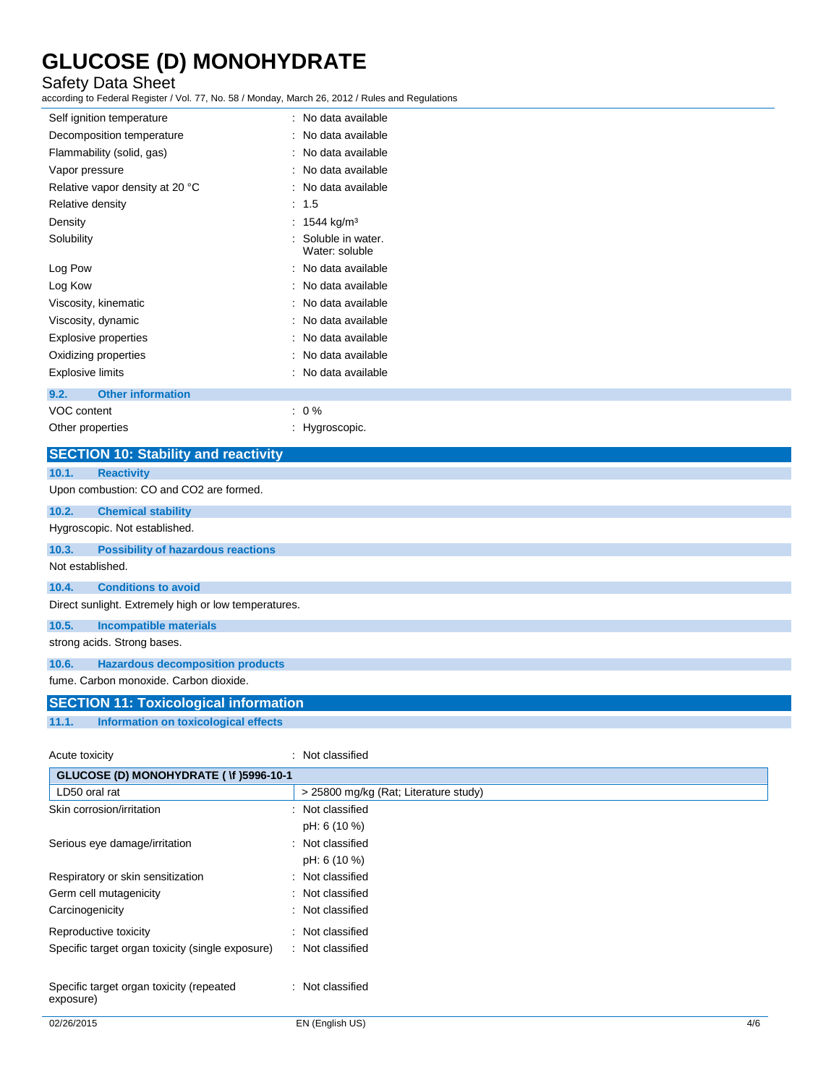### Safety Data Sheet

according to Federal Register / Vol. 77, No. 58 / Monday, March 26, 2012 / Rules and Regulations

| aboording to Fodoral Rogiotor / Vol. Fr, Ro. 66 / Monday, Maron 20, 2012 / Raioo dha Rogalationo |                                     |
|--------------------------------------------------------------------------------------------------|-------------------------------------|
| Self ignition temperature                                                                        | : No data available                 |
| Decomposition temperature                                                                        | No data available                   |
| Flammability (solid, gas)                                                                        | : No data available                 |
| Vapor pressure                                                                                   | No data available                   |
| Relative vapor density at 20 °C                                                                  | : No data available                 |
| Relative density                                                                                 | : 1.5                               |
| Density                                                                                          | : $1544 \text{ kg/m}^3$             |
| Solubility                                                                                       | Soluble in water.<br>Water: soluble |
| Log Pow                                                                                          | : No data available                 |
| Log Kow                                                                                          | : No data available                 |
| Viscosity, kinematic                                                                             | : No data available                 |
| Viscosity, dynamic                                                                               | No data available                   |
| <b>Explosive properties</b>                                                                      | No data available                   |
| Oxidizing properties                                                                             | No data available                   |
| <b>Explosive limits</b>                                                                          | : No data available                 |
| <b>Other information</b><br>9.2.                                                                 |                                     |
| VOC content                                                                                      | $: 0 \%$                            |
| Other properties                                                                                 | : Hygroscopic.                      |
| <b>SECTION 10: Stability and reactivity</b>                                                      |                                     |
| 10.1.<br><b>Reactivity</b>                                                                       |                                     |
| Upon combustion: CO and CO2 are formed.                                                          |                                     |
| 10.2.<br><b>Chemical stability</b>                                                               |                                     |
| Hygroscopic. Not established.                                                                    |                                     |
| 10.3.<br><b>Possibility of hazardous reactions</b>                                               |                                     |
| Not established.                                                                                 |                                     |
| <b>Conditions to avoid</b><br>10.4.                                                              |                                     |
| Direct sunlight. Extremely high or low temperatures.                                             |                                     |
| 10.5.<br><b>Incompatible materials</b>                                                           |                                     |

strong acids. Strong bases.

### **10.6. Hazardous decomposition products**

fume. Carbon monoxide. Carbon dioxide.

## **SECTION 11: Toxicological information 11.1. Information on toxicological effects**

| Acute toxicity                                   | : Not classified                      |
|--------------------------------------------------|---------------------------------------|
| GLUCOSE (D) MONOHYDRATE ( \f )5996-10-1          |                                       |
| LD50 oral rat                                    | > 25800 mg/kg (Rat; Literature study) |
| Skin corrosion/irritation                        | : Not classified                      |
|                                                  | pH: 6 (10 %)                          |
| Serious eye damage/irritation                    | : Not classified                      |
|                                                  | pH: 6 (10 %)                          |
| Respiratory or skin sensitization                | : Not classified                      |
| Germ cell mutagenicity                           | : Not classified                      |
| Carcinogenicity                                  | : Not classified                      |
| Reproductive toxicity                            | : Not classified                      |
| Specific target organ toxicity (single exposure) | : Not classified                      |
|                                                  |                                       |
| Specific target organ toxicity (repeated         | : Not classified                      |
| exposure)                                        |                                       |
|                                                  |                                       |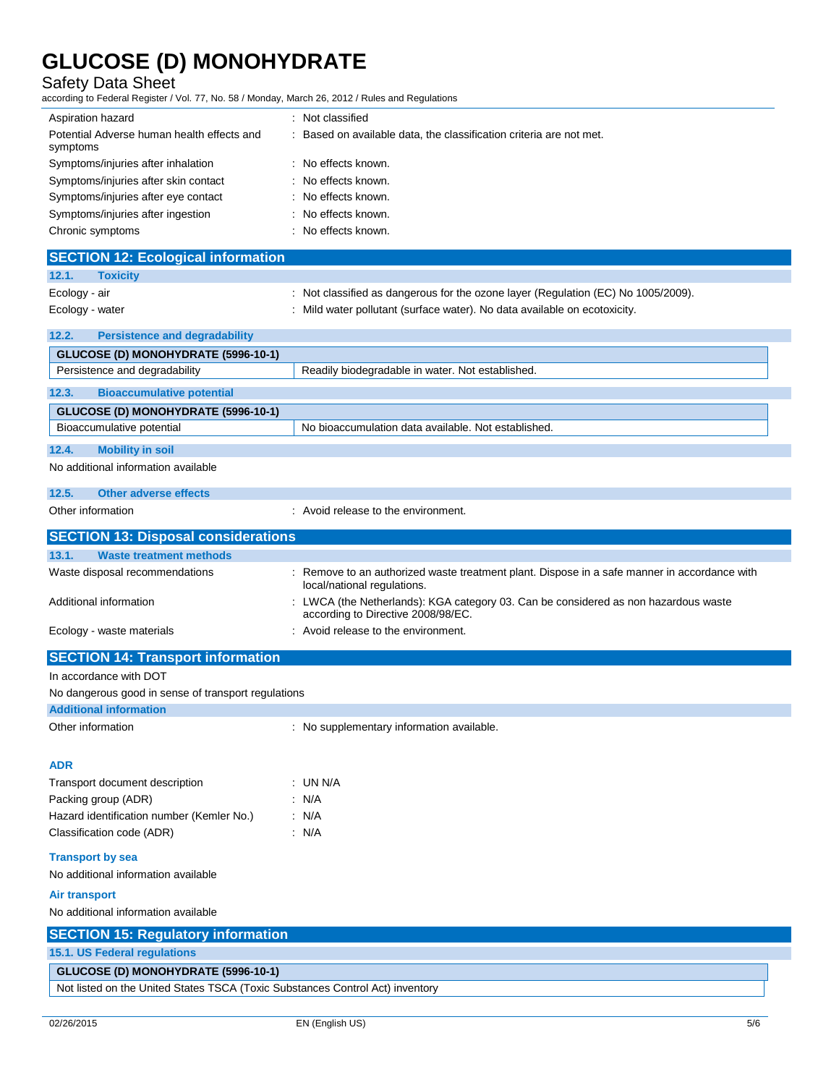Safety Data Sheet

according to Federal Register / Vol. 77, No. 58 / Monday, March 26, 2012 / Rules and Regulations

| iccording to Federal Register / Vol. 77, No. 58 / Monday, March 26, 2012 / Rules and Regulations                     |                                                                                                                           |  |
|----------------------------------------------------------------------------------------------------------------------|---------------------------------------------------------------------------------------------------------------------------|--|
| Aspiration hazard                                                                                                    | : Not classified                                                                                                          |  |
| Potential Adverse human health effects and<br>symptoms                                                               | : Based on available data, the classification criteria are not met.                                                       |  |
| Symptoms/injuries after inhalation                                                                                   | : No effects known.                                                                                                       |  |
| Symptoms/injuries after skin contact                                                                                 | : No effects known.                                                                                                       |  |
| Symptoms/injuries after eye contact                                                                                  | : No effects known.                                                                                                       |  |
| Symptoms/injuries after ingestion                                                                                    | No effects known.                                                                                                         |  |
| Chronic symptoms                                                                                                     | : No effects known.                                                                                                       |  |
|                                                                                                                      |                                                                                                                           |  |
| <b>SECTION 12: Ecological information</b>                                                                            |                                                                                                                           |  |
| 12.1.<br><b>Toxicity</b>                                                                                             |                                                                                                                           |  |
| Ecology - air                                                                                                        | : Not classified as dangerous for the ozone layer (Regulation (EC) No 1005/2009).                                         |  |
| Ecology - water                                                                                                      | : Mild water pollutant (surface water). No data available on ecotoxicity.                                                 |  |
| 12.2.<br><b>Persistence and degradability</b>                                                                        |                                                                                                                           |  |
| <b>GLUCOSE (D) MONOHYDRATE (5996-10-1)</b>                                                                           |                                                                                                                           |  |
| Persistence and degradability                                                                                        | Readily biodegradable in water. Not established.                                                                          |  |
| 12.3.<br><b>Bioaccumulative potential</b>                                                                            |                                                                                                                           |  |
| GLUCOSE (D) MONOHYDRATE (5996-10-1)                                                                                  |                                                                                                                           |  |
| Bioaccumulative potential                                                                                            | No bioaccumulation data available. Not established.                                                                       |  |
| 12.4.<br><b>Mobility in soil</b>                                                                                     |                                                                                                                           |  |
| No additional information available                                                                                  |                                                                                                                           |  |
| 12.5.<br><b>Other adverse effects</b>                                                                                |                                                                                                                           |  |
| Other information                                                                                                    | : Avoid release to the environment.                                                                                       |  |
|                                                                                                                      |                                                                                                                           |  |
| <b>SECTION 13: Disposal considerations</b>                                                                           |                                                                                                                           |  |
| 13.1.<br><b>Waste treatment methods</b>                                                                              |                                                                                                                           |  |
| Waste disposal recommendations                                                                                       | Remove to an authorized waste treatment plant. Dispose in a safe manner in accordance with<br>local/national regulations. |  |
| Additional information                                                                                               | : LWCA (the Netherlands): KGA category 03. Can be considered as non hazardous waste<br>according to Directive 2008/98/EC. |  |
| Ecology - waste materials                                                                                            | : Avoid release to the environment.                                                                                       |  |
| <b>SECTION 14: Transport information</b>                                                                             |                                                                                                                           |  |
| In accordance with DOT                                                                                               |                                                                                                                           |  |
| No dangerous good in sense of transport regulations                                                                  |                                                                                                                           |  |
| <b>Additional information</b>                                                                                        |                                                                                                                           |  |
| Other information                                                                                                    | : No supplementary information available.                                                                                 |  |
|                                                                                                                      |                                                                                                                           |  |
| <b>ADR</b>                                                                                                           |                                                                                                                           |  |
| Transport document description                                                                                       | : UN N/A                                                                                                                  |  |
| Packing group (ADR)                                                                                                  | : N/A                                                                                                                     |  |
| Hazard identification number (Kemler No.)                                                                            | : N/A                                                                                                                     |  |
| Classification code (ADR)                                                                                            | : N/A                                                                                                                     |  |
|                                                                                                                      |                                                                                                                           |  |
| <b>Transport by sea</b>                                                                                              |                                                                                                                           |  |
| No additional information available                                                                                  |                                                                                                                           |  |
| <b>Air transport</b>                                                                                                 |                                                                                                                           |  |
|                                                                                                                      |                                                                                                                           |  |
| No additional information available                                                                                  |                                                                                                                           |  |
| <b>SECTION 15: Regulatory information</b>                                                                            |                                                                                                                           |  |
| 15.1. US Federal regulations                                                                                         |                                                                                                                           |  |
| GLUCOSE (D) MONOHYDRATE (5996-10-1)<br>Not listed on the United States TSCA (Toxic Substances Control Act) inventory |                                                                                                                           |  |